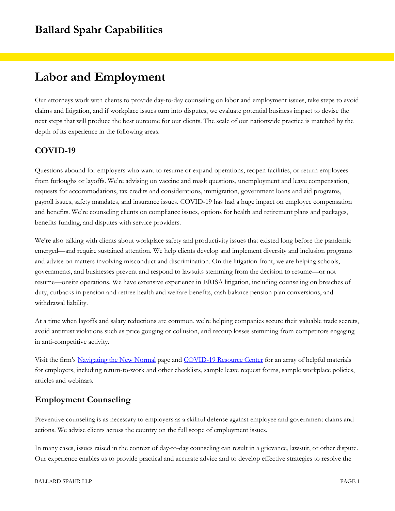# **Labor and Employment**

Our attorneys work with clients to provide day-to-day counseling on labor and employment issues, take steps to avoid claims and litigation, and if workplace issues turn into disputes, we evaluate potential business impact to devise the next steps that will produce the best outcome for our clients. The scale of our nationwide practice is matched by the depth of its experience in the following areas.

## **COVID-19**

Questions abound for employers who want to resume or expand operations, reopen facilities, or return employees from furloughs or layoffs. We're advising on vaccine and mask questions, unemployment and leave compensation, requests for accommodations, tax credits and considerations, immigration, government loans and aid programs, payroll issues, safety mandates, and insurance issues. COVID-19 has had a huge impact on employee compensation and benefits. We're counseling clients on compliance issues, options for health and retirement plans and packages, benefits funding, and disputes with service providers.

We're also talking with clients about workplace safety and productivity issues that existed long before the pandemic emerged—and require sustained attention. We help clients develop and implement diversity and inclusion programs and advise on matters involving misconduct and discrimination. On the litigation front, we are helping schools, governments, and businesses prevent and respond to lawsuits stemming from the decision to resume—or not resume—onsite operations. We have extensive experience in ERISA litigation, including counseling on breaches of duty, cutbacks in pension and retiree health and welfare benefits, cash balance pension plan conversions, and withdrawal liability.

At a time when layoffs and salary reductions are common, we're helping companies secure their valuable trade secrets, avoid antitrust violations such as price gouging or collusion, and recoup losses stemming from competitors engaging in anti-competitive activity.

Visit the firm's [Navigating the New Normal](https://www.ballardspahr.com/Services/Initiatives/Navigating-the-New-Normal) page and [COVID-19 Resource Center](https://www.ballardspahr.com/Services/Initiatives/COVID-19-Resource-Center) for an array of helpful materials for employers, including return-to-work and other checklists, sample leave request forms, sample workplace policies, articles and webinars.

## **Employment Counseling**

Preventive counseling is as necessary to employers as a skillful defense against employee and government claims and actions. We advise clients across the country on the full scope of employment issues.

In many cases, issues raised in the context of day-to-day counseling can result in a grievance, lawsuit, or other dispute. Our experience enables us to provide practical and accurate advice and to develop effective strategies to resolve the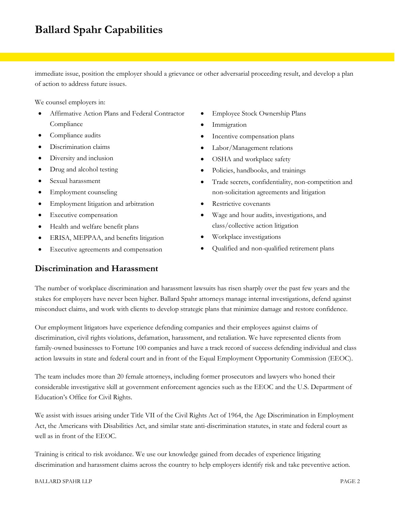immediate issue, position the employer should a grievance or other adversarial proceeding result, and develop a plan of action to address future issues.

We counsel employers in:

- Affirmative Action Plans and Federal Contractor Compliance
- Compliance audits
- Discrimination claims
- Diversity and inclusion
- Drug and alcohol testing
- Sexual harassment
- Employment counseling
- Employment litigation and arbitration
- Executive compensation
- Health and welfare benefit plans
- ERISA, MEPPAA, and benefits litigation
- Executive agreements and compensation

### **Discrimination and Harassment**

- Employee Stock Ownership Plans
- Immigration
- Incentive compensation plans
- Labor/Management relations
- OSHA and workplace safety
- Policies, handbooks, and trainings
- Trade secrets, confidentiality, non-competition and non-solicitation agreements and litigation
- Restrictive covenants
- Wage and hour audits, investigations, and class/collective action litigation
- Workplace investigations
- Qualified and non-qualified retirement plans

The number of workplace discrimination and harassment lawsuits has risen sharply over the past few years and the stakes for employers have never been higher. Ballard Spahr attorneys manage internal investigations, defend against misconduct claims, and work with clients to develop strategic plans that minimize damage and restore confidence.

Our employment litigators have experience defending companies and their employees against claims of discrimination, civil rights violations, defamation, harassment, and retaliation. We have represented clients from family-owned businesses to Fortune 100 companies and have a track record of success defending individual and class action lawsuits in state and federal court and in front of the Equal Employment Opportunity Commission (EEOC).

The team includes more than 20 female attorneys, including former prosecutors and lawyers who honed their considerable investigative skill at government enforcement agencies such as the EEOC and the U.S. Department of Education's Office for Civil Rights.

We assist with issues arising under Title VII of the Civil Rights Act of 1964, the Age Discrimination in Employment Act, the Americans with Disabilities Act, and similar state anti-discrimination statutes, in state and federal court as well as in front of the EEOC.

Training is critical to risk avoidance. We use our knowledge gained from decades of experience litigating discrimination and harassment claims across the country to help employers identify risk and take preventive action.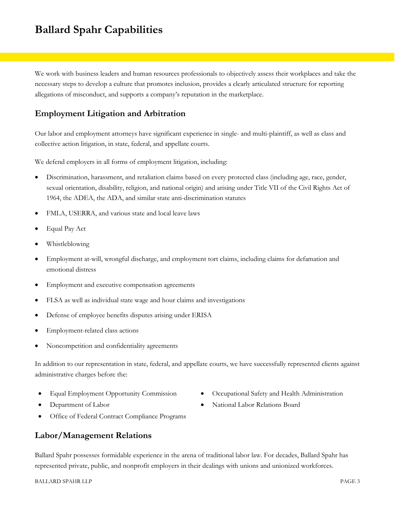We work with business leaders and human resources professionals to objectively assess their workplaces and take the necessary steps to develop a culture that promotes inclusion, provides a clearly articulated structure for reporting allegations of misconduct, and supports a company's reputation in the marketplace.

## **Employment Litigation and Arbitration**

Our labor and employment attorneys have significant experience in single- and multi-plaintiff, as well as class and collective action litigation, in state, federal, and appellate courts.

We defend employers in all forms of employment litigation, including:

- Discrimination, harassment, and retaliation claims based on every protected class (including age, race, gender, sexual orientation, disability, religion, and national origin) and arising under Title VII of the Civil Rights Act of 1964, the ADEA, the ADA, and similar state anti-discrimination statutes
- FMLA, USERRA, and various state and local leave laws
- Equal Pay Act
- Whistleblowing
- Employment at-will, wrongful discharge, and employment tort claims, including claims for defamation and emotional distress
- Employment and executive compensation agreements
- FLSA as well as individual state wage and hour claims and investigations
- Defense of employee benefits disputes arising under ERISA
- Employment-related class actions
- Noncompetition and confidentiality agreements

In addition to our representation in state, federal, and appellate courts, we have successfully represented clients against administrative charges before the:

- 
- 
- Equal Employment Opportunity Commission Occupational Safety and Health Administration
- Department of Labor **National Labor Relations Board** National Labor Relations Board
- Office of Federal Contract Compliance Programs

### **Labor/Management Relations**

Ballard Spahr possesses formidable experience in the arena of traditional labor law. For decades, Ballard Spahr has represented private, public, and nonprofit employers in their dealings with unions and unionized workforces.

#### BALLARD SPAHR LLP PAGE 3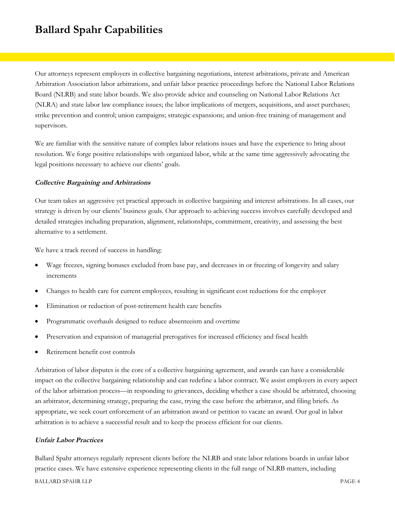Our attorneys represent employers in collective bargaining negotiations, interest arbitrations, private and American Arbitration Association labor arbitrations, and unfair labor practice proceedings before the National Labor Relations Board (NLRB) and state labor boards. We also provide advice and counseling on National Labor Relations Act (NLRA) and state labor law compliance issues; the labor implications of mergers, acquisitions, and asset purchases; strike prevention and control; union campaigns; strategic expansions; and union-free training of management and supervisors.

We are familiar with the sensitive nature of complex labor relations issues and have the experience to bring about resolution. We forge positive relationships with organized labor, while at the same time aggressively advocating the legal positions necessary to achieve our clients' goals.

#### **Collective Bargaining and Arbitrations**

Our team takes an aggressive yet practical approach in collective bargaining and interest arbitrations. In all cases, our strategy is driven by our clients' business goals. Our approach to achieving success involves carefully developed and detailed strategies including preparation, alignment, relationships, commitment, creativity, and assessing the best alternative to a settlement.

We have a track record of success in handling:

- Wage freezes, signing bonuses excluded from base pay, and decreases in or freezing of longevity and salary increments
- Changes to health care for current employees, resulting in significant cost reductions for the employer
- Elimination or reduction of post-retirement health care benefits
- Programmatic overhauls designed to reduce absenteeism and overtime
- Preservation and expansion of managerial prerogatives for increased efficiency and fiscal health
- Retirement benefit cost controls

Arbitration of labor disputes is the core of a collective bargaining agreement, and awards can have a considerable impact on the collective bargaining relationship and can redefine a labor contract. We assist employers in every aspect of the labor arbitration process—in responding to grievances, deciding whether a case should be arbitrated, choosing an arbitrator, determining strategy, preparing the case, trying the case before the arbitrator, and filing briefs. As appropriate, we seek court enforcement of an arbitration award or petition to vacate an award. Our goal in labor arbitration is to achieve a successful result and to keep the process efficient for our clients.

#### **Unfair Labor Practices**

BALLARD SPAHR LLP PAGE 4 Ballard Spahr attorneys regularly represent clients before the NLRB and state labor relations boards in unfair labor practice cases. We have extensive experience representing clients in the full range of NLRB matters, including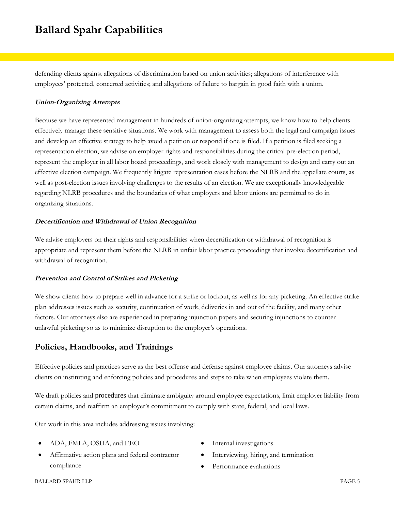defending clients against allegations of discrimination based on union activities; allegations of interference with employees' protected, concerted activities; and allegations of failure to bargain in good faith with a union.

#### **Union-Organizing Attempts**

Because we have represented management in hundreds of union-organizing attempts, we know how to help clients effectively manage these sensitive situations. We work with management to assess both the legal and campaign issues and develop an effective strategy to help avoid a petition or respond if one is filed. If a petition is filed seeking a representation election, we advise on employer rights and responsibilities during the critical pre-election period, represent the employer in all labor board proceedings, and work closely with management to design and carry out an effective election campaign. We frequently litigate representation cases before the NLRB and the appellate courts, as well as post-election issues involving challenges to the results of an election. We are exceptionally knowledgeable regarding NLRB procedures and the boundaries of what employers and labor unions are permitted to do in organizing situations.

#### **Decertification and Withdrawal of Union Recognition**

We advise employers on their rights and responsibilities when decertification or withdrawal of recognition is appropriate and represent them before the NLRB in unfair labor practice proceedings that involve decertification and withdrawal of recognition.

#### **Prevention and Control of Strikes and Picketing**

We show clients how to prepare well in advance for a strike or lockout, as well as for any picketing. An effective strike plan addresses issues such as security, continuation of work, deliveries in and out of the facility, and many other factors. Our attorneys also are experienced in preparing injunction papers and securing injunctions to counter unlawful picketing so as to minimize disruption to the employer's operations.

### **Policies, Handbooks, and Trainings**

Effective policies and practices serve as the best offense and defense against employee claims. Our attorneys advise clients on instituting and enforcing policies and procedures and steps to take when employees violate them.

We draft policies and procedures that eliminate ambiguity around employee expectations, limit employer liability from certain claims, and reaffirm an employer's commitment to comply with state, federal, and local laws.

Our work in this area includes addressing issues involving:

- ADA, FMLA, OSHA, and EEO
- Affirmative action plans and federal contractor compliance
- Internal investigations
- Interviewing, hiring, and termination
- Performance evaluations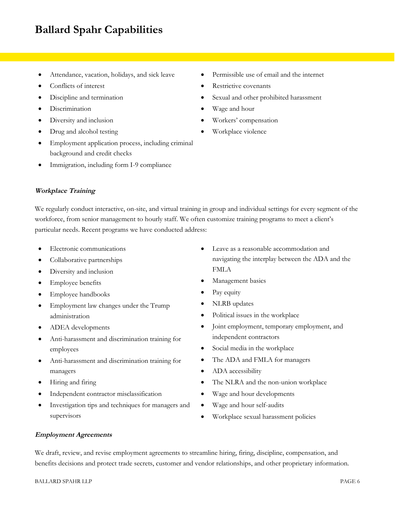- Attendance, vacation, holidays, and sick leave
- Conflicts of interest
- Discipline and termination
- Discrimination
- Diversity and inclusion
- Drug and alcohol testing
- Employment application process, including criminal background and credit checks
- Immigration, including form I-9 compliance
- Permissible use of email and the internet
- Restrictive covenants
- Sexual and other prohibited harassment
- Wage and hour
- Workers' compensation
- Workplace violence

### **Workplace Training**

We regularly conduct interactive, on-site, and virtual training in group and individual settings for every segment of the workforce, from senior management to hourly staff. We often customize training programs to meet a client's particular needs. Recent programs we have conducted address:

- Electronic communications
- Collaborative partnerships
- Diversity and inclusion
- Employee benefits
- Employee handbooks
- Employment law changes under the Trump administration
- ADEA developments
- Anti-harassment and discrimination training for employees
- Anti-harassment and discrimination training for managers
- Hiring and firing
- Independent contractor misclassification
- Investigation tips and techniques for managers and supervisors
- Leave as a reasonable accommodation and navigating the interplay between the ADA and the FMLA
- Management basics
- Pay equity
- NLRB updates
- Political issues in the workplace
- Joint employment, temporary employment, and independent contractors
- Social media in the workplace
- The ADA and FMLA for managers
- ADA accessibility
- The NLRA and the non-union workplace
- Wage and hour developments
- Wage and hour self-audits
- Workplace sexual harassment policies

#### **Employment Agreements**

We draft, review, and revise employment agreements to streamline hiring, firing, discipline, compensation, and benefits decisions and protect trade secrets, customer and vendor relationships, and other proprietary information.

#### BALLARD SPAHR LLP PAGE 6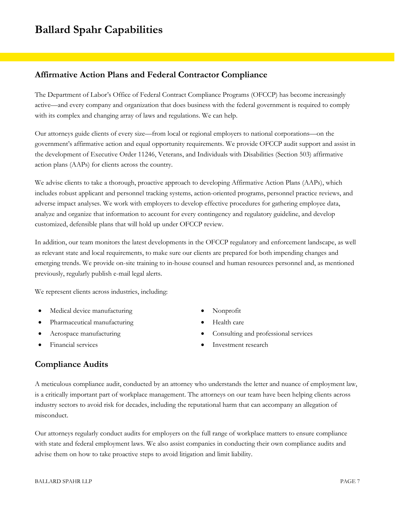## **Affirmative Action Plans and Federal Contractor Compliance**

The Department of Labor's Office of Federal Contract Compliance Programs (OFCCP) has become increasingly active—and every company and organization that does business with the federal government is required to comply with its complex and changing array of laws and regulations. We can help.

Our attorneys guide clients of every size—from local or regional employers to national corporations—on the government's affirmative action and equal opportunity requirements. We provide OFCCP audit support and assist in the development of Executive Order 11246, Veterans, and Individuals with Disabilities (Section 503) affirmative action plans (AAPs) for clients across the country.

We advise clients to take a thorough, proactive approach to developing Affirmative Action Plans (AAPs), which includes robust applicant and personnel tracking systems, action-oriented programs, personnel practice reviews, and adverse impact analyses. We work with employers to develop effective procedures for gathering employee data, analyze and organize that information to account for every contingency and regulatory guideline, and develop customized, defensible plans that will hold up under OFCCP review.

In addition, our team monitors the latest developments in the OFCCP regulatory and enforcement landscape, as well as relevant state and local requirements, to make sure our clients are prepared for both impending changes and emerging trends. We provide on-site training to in-house counsel and human resources personnel and, as mentioned previously, regularly publish e-mail legal alerts.

We represent clients across industries, including:

- Medical device manufacturing
- Pharmaceutical manufacturing
- Aerospace manufacturing
- Financial services
- Nonprofit
- Health care
- Consulting and professional services
- Investment research

## **Compliance Audits**

A meticulous compliance audit, conducted by an attorney who understands the letter and nuance of employment law, is a critically important part of workplace management. The attorneys on our team have been helping clients across industry sectors to avoid risk for decades, including the reputational harm that can accompany an allegation of misconduct.

Our attorneys regularly conduct audits for employers on the full range of workplace matters to ensure compliance with state and federal employment laws. We also assist companies in conducting their own compliance audits and advise them on how to take proactive steps to avoid litigation and limit liability.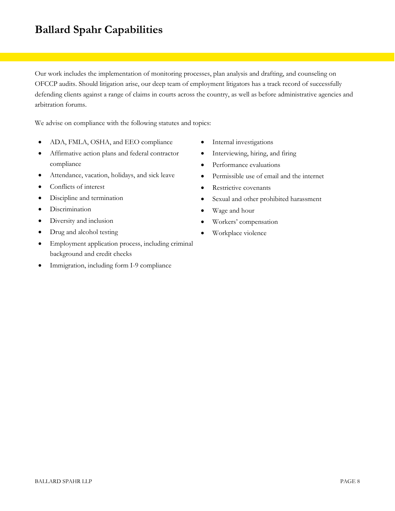Our work includes the implementation of monitoring processes, plan analysis and drafting, and counseling on OFCCP audits. Should litigation arise, our deep team of employment litigators has a track record of successfully defending clients against a range of claims in courts across the country, as well as before administrative agencies and arbitration forums.

We advise on compliance with the following statutes and topics:

- ADA, FMLA, OSHA, and EEO compliance
- Affirmative action plans and federal contractor compliance
- Attendance, vacation, holidays, and sick leave
- Conflicts of interest
- Discipline and termination
- **·** Discrimination
- Diversity and inclusion
- Drug and alcohol testing
- Employment application process, including criminal background and credit checks
- Immigration, including form I-9 compliance
- Internal investigations
- Interviewing, hiring, and firing
- Performance evaluations
- Permissible use of email and the internet
- Restrictive covenants
- Sexual and other prohibited harassment
- Wage and hour
- Workers' compensation
- Workplace violence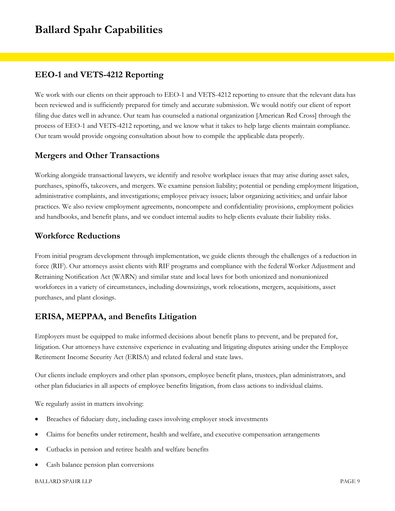### **EEO-1 and VETS-4212 Reporting**

We work with our clients on their approach to EEO-1 and VETS-4212 reporting to ensure that the relevant data has been reviewed and is sufficiently prepared for timely and accurate submission. We would notify our client of report filing due dates well in advance. Our team has counseled a national organization [American Red Cross] through the process of EEO-1 and VETS-4212 reporting, and we know what it takes to help large clients maintain compliance. Our team would provide ongoing consultation about how to compile the applicable data properly.

### **Mergers and Other Transactions**

Working alongside transactional lawyers, we identify and resolve workplace issues that may arise during asset sales, purchases, spinoffs, takeovers, and mergers. We examine pension liability; potential or pending employment litigation, administrative complaints, and investigations; employee privacy issues; labor organizing activities; and unfair labor practices. We also review employment agreements, noncompete and confidentiality provisions, employment policies and handbooks, and benefit plans, and we conduct internal audits to help clients evaluate their liability risks.

### **Workforce Reductions**

From initial program development through implementation, we guide clients through the challenges of a reduction in force (RIF). Our attorneys assist clients with RIF programs and compliance with the federal Worker Adjustment and Retraining Notification Act (WARN) and similar state and local laws for both unionized and nonunionized workforces in a variety of circumstances, including downsizings, work relocations, mergers, acquisitions, asset purchases, and plant closings.

## **ERISA, MEPPAA, and Benefits Litigation**

Employers must be equipped to make informed decisions about benefit plans to prevent, and be prepared for, litigation. Our attorneys have extensive experience in evaluating and litigating disputes arising under the Employee Retirement Income Security Act (ERISA) and related federal and state laws.

Our clients include employers and other plan sponsors, employee benefit plans, trustees, plan administrators, and other plan fiduciaries in all aspects of employee benefits litigation, from class actions to individual claims.

We regularly assist in matters involving:

- Breaches of fiduciary duty, including cases involving employer stock investments
- Claims for benefits under retirement, health and welfare, and executive compensation arrangements
- Cutbacks in pension and retiree health and welfare benefits
- Cash balance pension plan conversions

#### BALLARD SPAHR LLP PAGE 9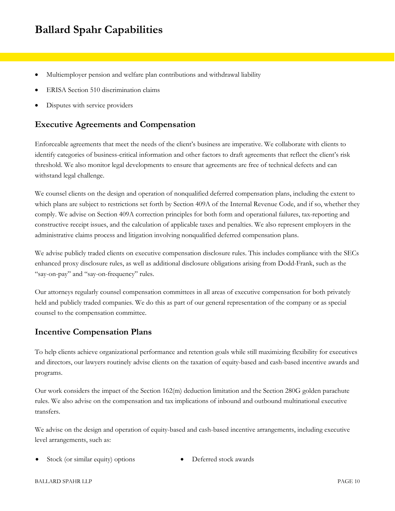- Multiemployer pension and welfare plan contributions and withdrawal liability
- ERISA Section 510 discrimination claims
- Disputes with service providers

### **Executive Agreements and Compensation**

Enforceable agreements that meet the needs of the client's business are imperative. We collaborate with clients to identify categories of business-critical information and other factors to draft agreements that reflect the client's risk threshold. We also monitor legal developments to ensure that agreements are free of technical defects and can withstand legal challenge.

We counsel clients on the design and operation of nonqualified deferred compensation plans, including the extent to which plans are subject to restrictions set forth by Section 409A of the Internal Revenue Code, and if so, whether they comply. We advise on Section 409A correction principles for both form and operational failures, tax-reporting and constructive receipt issues, and the calculation of applicable taxes and penalties. We also represent employers in the administrative claims process and litigation involving nonqualified deferred compensation plans.

We advise publicly traded clients on executive compensation disclosure rules. This includes compliance with the SECs enhanced proxy disclosure rules, as well as additional disclosure obligations arising from Dodd-Frank, such as the "say-on-pay" and "say-on-frequency" rules.

Our attorneys regularly counsel compensation committees in all areas of executive compensation for both privately held and publicly traded companies. We do this as part of our general representation of the company or as special counsel to the compensation committee.

### **Incentive Compensation Plans**

To help clients achieve organizational performance and retention goals while still maximizing flexibility for executives and directors, our lawyers routinely advise clients on the taxation of equity-based and cash-based incentive awards and programs.

Our work considers the impact of the Section 162(m) deduction limitation and the Section 280G golden parachute rules. We also advise on the compensation and tax implications of inbound and outbound multinational executive transfers.

We advise on the design and operation of equity-based and cash-based incentive arrangements, including executive level arrangements, such as:

Stock (or similar equity) options <br> Deferred stock awards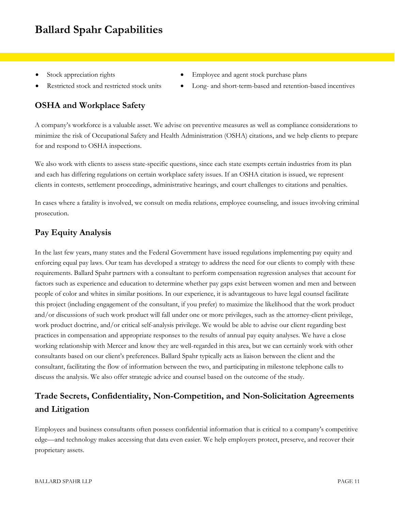- 
- 

## **OSHA and Workplace Safety**

- Stock appreciation rights **Employee and agent stock purchase plans**
- Restricted stock and restricted stock units  $\bullet$  Long- and short-term-based and retention-based incentives

A company's workforce is a valuable asset. We advise on preventive measures as well as compliance considerations to minimize the risk of Occupational Safety and Health Administration (OSHA) citations, and we help clients to prepare for and respond to OSHA inspections.

We also work with clients to assess state-specific questions, since each state exempts certain industries from its plan and each has differing regulations on certain workplace safety issues. If an OSHA citation is issued, we represent clients in contests, settlement proceedings, administrative hearings, and court challenges to citations and penalties.

In cases where a fatality is involved, we consult on media relations, employee counseling, and issues involving criminal prosecution.

## **Pay Equity Analysis**

In the last few years, many states and the Federal Government have issued regulations implementing pay equity and enforcing equal pay laws. Our team has developed a strategy to address the need for our clients to comply with these requirements. Ballard Spahr partners with a consultant to perform compensation regression analyses that account for factors such as experience and education to determine whether pay gaps exist between women and men and between people of color and whites in similar positions. In our experience, it is advantageous to have legal counsel facilitate this project (including engagement of the consultant, if you prefer) to maximize the likelihood that the work product and/or discussions of such work product will fall under one or more privileges, such as the attorney-client privilege, work product doctrine, and/or critical self-analysis privilege. We would be able to advise our client regarding best practices in compensation and appropriate responses to the results of annual pay equity analyses. We have a close working relationship with Mercer and know they are well-regarded in this area, but we can certainly work with other consultants based on our client's preferences. Ballard Spahr typically acts as liaison between the client and the consultant, facilitating the flow of information between the two, and participating in milestone telephone calls to discuss the analysis. We also offer strategic advice and counsel based on the outcome of the study.

## **Trade Secrets, Confidentiality, Non-Competition, and Non-Solicitation Agreements and Litigation**

Employees and business consultants often possess confidential information that is critical to a company's competitive edge—and technology makes accessing that data even easier. We help employers protect, preserve, and recover their proprietary assets.